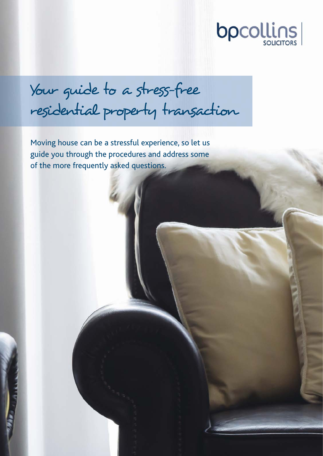

Your guide to a stress-free residential property transaction

Moving house can be a stressful experience, so let us guide you through the procedures and address some of the more frequently asked questions.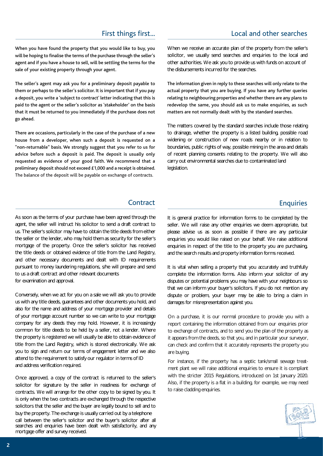# First things first... **Example 2** Local and other searches

When you have found the property that you would like to buy, you will be hoping to finalise the terms of the purchase through the seller's agent and if you have a house to sell, will be settling the terms for the sale of your existing property through your agent.

The seller's agent may ask you for a preliminary deposit payable to them or perhaps to the seller's solicitor. It is important that if you pay a deposit, you write a 'subject to contract' letter indicating that this is paid to the agent or the seller's solicitor as 'stakeholder' on the basis that it must be returned to you immediately if the purchase does not go ahead.

preliminary deposit should not exceed  $£1,000$  and a receipt is obtained. legislation. The balance of the deposit will be payable on exchange of contracts. requested as evidence of your good faith. We recommend that a "non-returnable" basis. We strongly suggest that you refer to us for advice before such a deposit is paid. The deposit is usually only There are occasions, particularly in the case of the purchase of a new house from a developer, when such a deposit is requested on a

As soon as the terms of your purchase have been agreed through the agent, the seller will instruct his solicitor to send a draft contract to us. The seller's solicitor may have to obtain the title deeds from either the seller or the lender, who may hold them as security for the seller's mortgage of the property. Once the seller's solicitor has received the title deeds or obtained evidence of title from the Land Registry, and other necessary documents and dealt with ID requirements pursuant to money laundering regulations, s/he will prepare and send to us a draft contract and other relevant documents for examination and approval.

Conversely, when we act for you on a sale we will ask you to provide us with any title deeds, guarantees and other documents you hold, and also for the name and address of your mortgage provider and details of your mortgage account number so we can write to your mortgage company for any deeds they may hold. However, it is increasingly common for title deeds to be held by a seller, not a lender. Where the property is registered we will usually be able to obtain evidence of title from the Land Registry, which is stored electronically. We ask you to sign and return our terms of engagement letter and we also attend to the requirement to satisfy our regulator in terms of ID and address verification required.

Once approved, a copy of the contract is returned to the seller's solicitor for signature by the seller in readiness for exchange of contracts. We will arrange for the other copy to be signed by you. It is only when the two contracts are exchanged through the respective solicitors that the seller and the buyer are legally bound to sell and to buy the property. The exchange is usually carried out by a telephone call between the seller's solicitor and the buyer's solicitor after all searches and enquiries have been dealt with satisfactorily, and any mortgage offer and survey received.

When we receive an accurate plan of the property from the seller's solicitor, we usually send searches and enquiries to the local and other authorities. We ask you to provide us with funds on account of the disbursements incurred for the searches.

matters are not normally dealt with by the standard searches. The information given in reply to these searches will only relate to the actual property that you are buying. If you have any further queries relating to neighbouring properties and whether there are any plans to redevelop the same, you should ask us to make enquiries, as such

The matters covered by the standard searches include those relating to drainage, whether the property is a listed building, possible road widening or construction of new roads nearby or in relation to boundaries, public rights of way, possible mining in the area and details of recent planning consents relating to the property. We will also carry out environmental searches due to contaminated land

# Contract **Enquiries**

It is general practice for information forms to be completed by the seller. We will raise any other enquiries we deem appropriate, but please advise us as soon as possible if there are any particular enquiries you would like raised on your behalf. We raise additional enquiries in respect of the title to the property you are purchasing, and the search results and property information forms received.

It is vital when selling a property that you accurately and truthfully complete the information forms. Also inform your solicitor of any disputes or potential problems you may have with your neighbours so that we can inform your buyer's solicitors. If you do not mention any dispute or problem, your buyer may be able to bring a claim in damages for misrepresentation against you.

On a purchase, it is our normal procedure to provide you with a report containing the information obtained from our enquiries prior to exchange of contracts, and to send you the plan of the property as it appears from the deeds, so that you, and in particular your surveyor, can check and confirm that it accurately represents the property you are buying.

For instance, if the property has a septic tank/small sewage treatment plant we will raise additional enquiries to ensure it is compliant with the stricter 2015 Regulations, introduced on 1st January 2020. Also, if the property is a flat in a building, for example, we may need to raise cladding enquiries.

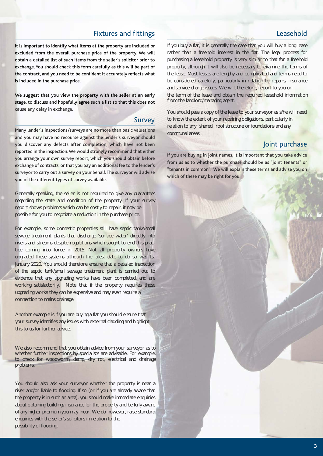# Fixtures and fittings Leasehold

obtain a detailed list of such items from the seller's solicitor prior to exchange. You should check this form carefully as this will be part of the contract, and you need to be confident it accurately reflects what is included in the purchase price. It is important to identify what items at the property are included or excluded from the overall purchase price of the property. We will

We suggest that you view the property with the seller at an early stage, to discuss and hopefully agree such a list so that this does not cause any delay in exchange.

### **Survey**

reported in the inspection. We would strongly recommend that either you arrange your own survey report, which you should obtain before exchange of contracts, or that you pay an additional fee to the lender's surveyor to carry out a survey on your behalf. The surveyor will advise you of the different types of survey available. Many lender's inspections/surveys are no more than basic valuations and you may have no recourse against the lender's surveyor should you discover any defects after completion, which have not been

Generally speaking, the seller is not required to give any guarantees regarding the state and condition of the property. If your survey report shows problems which can be costly to repair, it may be possible for you to negotiate a reduction in the purchase price.

For example, some domestic properties still have septic tanks/small sewage treatment plants that discharge 'surface water' directly into rivers and streams despite regulations which sought to end this practice coming into force in 2015. Not all property owners have upgraded these systems although the latest date to do so was 1st January 2020. You should therefore ensure that a detailed inspection of the septic tank/small sewage treatment plant is carried out to evidence that any upgrading works have been completed, and are working satisfactorily. Note that if the property requires these upgrading works they can be expensive and may even require a connection to mains drainage.

Another example is if you are buying a flat you should ensure that your survey identifies any issues with external cladding and highlight this to us for further advice.

We also recommend that you obtain advice from your surveyor as to whether further inspections by specialists are advisable. For example, to check for woodworm, damp, dry rot, electrical and drainage problems.

You should also ask your surveyor whether the property is near a river and/or liable to flooding. If so (or if you are already aware that the property is in such an area), you should make immediate enquiries about obtaining buildings insurance for the property and be fully aware of any higher premium you may incur. We do however, raise standard enquiries with the seller's solicitors in relation to the possibility of flooding.

If you buy a flat, it is generally the case that you will buy a long lease rather than a freehold interest in the flat. The legal process for purchasing a leasehold property is very similar to that for a freehold property, although it will also be necessary to examine the terms of the lease. Most leases are lengthy and complicated and terms need to be considered carefully, particularly in relation to repairs, insurance and service charge issues. We will, therefore, report to you on the term of the lease and obtain the required leasehold information from the landlord/managing agent.

You should pass a copy of the lease to your surveyor as s/he will need to know the extent of your repairing obligations, particularly in relation to any "shared" roof structure or foundations and any communal areas.

# Joint purchase

from us as to whether the purchase should be as "joint tenants" or "tenants in common". We will explain these terms and advise you on which of these may be right for you. If you are buying in joint names, it is important that you take advice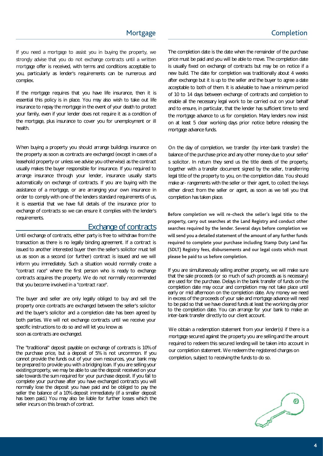If you need a mortgage to assist you in buying the property, we strongly advise that you do not exchange contracts until a written mortgage offer is received, with terms and conditions acceptable to complex. you, particularly as lender's requirements can be numerous and

If the mortgage requires that you have life insurance, then it is essential this policy is in place. You may also wish to take out life insurance to repay the mortgage in the event of your death to protect your family, even if your lender does not require it as a condition of the mortgage, plus insurance to cover you for unemployment or ill health.

When buying a property you should arrange buildings insurance on the property as soon as contracts are exchanged (except in cases of a leasehold property or unless we advise you otherwise) as the contract usually makes the buyer responsible for insurance. If you required to arrange insurance through your lender, insurance usually starts automatically on exchange of contracts. If you are buying with the assistance of a mortgage, or are arranging your own insurance in order to comply with one of the lenders standard requirements of us, it is essential that we have full details of the insurance prior to exchange of contracts so we can ensure it complies with the lender's requirements.

## Exchange of contracts

Until exchange of contracts, either party is free to withdraw from the transaction as there is no legally binding agreement. If a contract is issued to another interested buyer then the seller's solicitor must tell us as soon as a second (or further) contract is issued and we will inform you immediately. Such a situation would normally create a "contract race" where the first person who is ready to exchange contracts acquires the property. We do not normally recommended that you become involved in a "contract race".

The buyer and seller are only legally obliged to buy and sell the property once contracts are exchanged between the seller's solicitor and the buyer's solicitor and a completion date has been agreed by both parties. We will not exchange contracts until we receive your specific instructions to do so and will let you know as soon as contracts are exchanged.

The "traditional" deposit payable on exchange of contracts is 10% of the purchase price, but a deposit of 5% is not uncommon. If you cannot provide the funds out of your own resources, your bank may be prepared to provide you with a bridging loan. If you are selling your existing property, we may be able to use the deposit received on your sale towards the sum required for your purchase deposit. If you fail to complete your purchase after you have exchanged contracts you will normally lose the deposit you have paid and be obliged to pay the seller the balance of a 10% deposit immediately (if a smaller deposit has been paid.) You may also be liable for further losses which the seller incurs on this breach of contract.

The completion date is the date when the remainder of the purchase price must be paid and you will be able to move. The completion date is usually fixed on exchange of contracts but may be on notice if a new build. The date for completion was traditionally about 4 weeks after exchange but it is up to the seller and the buyer to agree a date acceptable to both of them. It is advisable to have a minimum period of 10 to 14 days between exchange of contracts and completion to enable all the necessary legal work to be carried out on your behalf and to ensure, in particular, that the lender has sufficient time to send the mortgage advance to us for completion. Many lenders now insist on at least 5 clear working days prior notice before releasing the mortgage advance funds.

On the day of completion, we transfer (by inter-bank transfer) the balance of the purchase price and any other money due to your seller' s solicitor. In return they send us the title deeds of the property, together with a transfer document signed by the seller, transferring legal title of the property to you, on the completion date. You should make ar- rangements with the seller or their agent, to collect the keys either direct from the seller or agent, as soon as we tell you that completion has taken place.

property, carry out searches at the Land Registry and conduct other searches required by the lender. Several days before completion we will send you a detailed statement of the amount of any further funds required to complete your purchase including Stamp Duty Land Tax (SDLT) Registry fees, disbursements and our legal costs which must please be paid to us before completion. Before completion we will re-check the seller's legal title to the

If you are simultaneously selling another property, we will make sure that the sale proceeds (or so much of such proceeds as is necessary) are used for the purchase. Delays in the bank transfer of funds on the completion date may occur and completion may not take place until early or mid afternoon on the completion date. Any money we need in excess of the proceeds of your sale and mortgage advance will need to be paid so that we have cleared funds at least the working day prior to the completion date. You can arrange for your bank to make an inter-bank transfer directly to our client account.

We obtain a redemption statement from your lender(s) if there is a mortgage secured against the property you are selling and the amount required to redeem this secured lending will be taken into account in our completion statement. We redeem the registered charges on completion, subject to receiving the funds to do so.

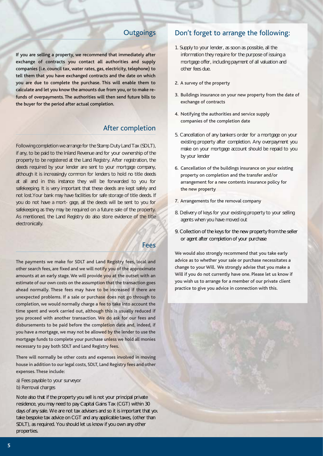calculate and let you know the amounts due from you, or to make refunds of overpayments. The authorities will then send future bills to the buyer for the period after actual completion. companies (i.e. council tax, water rates, gas, electricity, telephone) to tell them that you have exchanged contracts and the date on which you are due to complete the purchase. This will enable them to If you are selling a property, we recommend that immediately after exchange of contracts you contact all authorities and supply

# After completion

Following completion we arrange for the Stamp Duty Land Tax (SDLT), if any, to be paid to the Inland Revenue and for your ownership of the property to be registered at the Land Registry. After registration, the deeds required by your lender are sent to your mortgage company, although it is increasingly common for lenders to hold no title deeds at all and in this instance they will be forwarded to you for safekeeping. It is very important that these deeds are kept safely and not lost.Your bank may have facilities for safe storage of title deeds. If you do not have a mort- gage, all the deeds will be sent to you for safekeeping as they may be required on a future sale of the property. As mentioned, the Land Registry do also store evidence of the title electronically.

### Fees

disbursements to be paid before the completion date and, indeed, if you have a mortgage, we may not be allowed by the lender to use the mortgage funds to complete your purchase unless we hold all monies necessary to pay both SDLT and Land Registry fees. unexpected problems. If a sale or purchase does not go through to completion, we would normally charge a fee to take into account the time spent and work carried out, although this is usually reduced if you proceed with another transaction. We do ask for our fees and The payments we make for SDLT and Land Registry fees, local and other search fees, are fixed and we will notify you of the approximate amounts at an early stage. We will provide you at the outset with an estimate of our own costs on the assumption that the transaction goes ahead normally. These fees may have to be increased if there are

There will normally be other costs and expenses involved in moving house in addition to our legal costs, SDLT, Land Registry fees and other expenses. These include:

- a) Fees payable to your surveyor
- b) Removal charges

Note also that if the property you sell is not your principal private residence, you may need to pay Capital Gains Tax (CGT) within 30 days of any sale. We are not tax advisers and so it is important that you take bespoke tax advice on CGT and any applicable taxes, (other than SDLT), as required. You should let us know if you own any other properties.

# Outgoings Don't forget to arrange the following:

- 1. Supply to your lender, as soon as possible, all the information they require for the purpose of issuing a mortgage offer, including payment of all valuation and other fees due.
- 2. A survey of the property
- exchange of contracts 3. Buildings insurance on your new property from the date of
- companies of the completion date 4. Notifying the authorities and service supply
- 5. Cancellation of any bankers order for a mortgage on your existing property after completion. Any overpayment you make on your mortgage account should be repaid to you by your lender
- 6. Cancellation of the buildings insurance on your existing property on completion and the transfer and/or arrangement for a new contents insurance policy for the new property
- 7. Arrangements for the removal company
- 8. Delivery of keys for your existing property to your selling agents when you have moved out
- 9. Collection of the keys for the new property from the seller or agent after completion of your purchase

you wish us to arrange for a member of our private client practice to give you advice in connection with this. We would also strongly recommend that you take early advice as to whether your sale or purchase necessitates a change to your Will. We strongly advise that you make a Will if you do not currently have one. Please let us know if